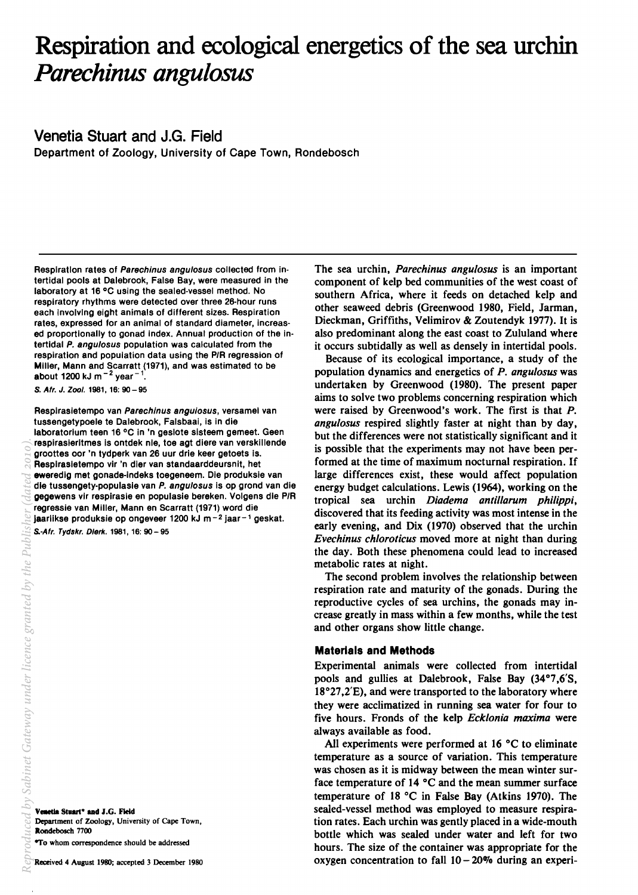# Respiration and ecological energetics of the sea urchin *Parechinus angu/osus*

Venetia Stuart and J.G. Field

Department of Zoology, University of Cape Town, Rondebosch

Respiration rates of Parechinus angulosus collected from intertidal pools at Dalebrook, False Bay, were measured in the laboratory at 16°C USing the sealed-vessel method. No respiratory rhythms were detected over three 26-hour runs each involving eight animals of different sizes. Respiration rates, expressed for an animal of standard diameter, increased proportionally to gonad Index. Annual production of the intertidal P. angulosus population was calculated from the respiration and population data using the P/R regression of Miller, Mann and Scarratt (1971), and was estimated to be about 1200 kJ m $^{-2}$  year $^{-1}$ .

S. Afr. J. Zool. 1981, 16: 90 - 95

Resplrasletempo van Parechlnus angulosus, versamel van tussengetypoele te Dalebrook, Falsbaai, is in die laboratorlum teen 16°C in 'n geslote sisteem gemeet. Geen respirasierltmes is ontdek nle, toe agt diere van verskillende groottes oor 'n tydperk van 26 uur drie keer getoets is. Resplrasletempo vir 'n dler van standaarddeursnit, het eweredig met gonade-Indeks toegeneem. Die produksie van die tussengety-populasie van P. angulosus is op grond van die gegewens vir respirasle en populasie bereken. Volgens die P/R regressie van Miller, Mann en Scarratt (1971) word die Jaarlikse produksie op ongeveer 1200 kJ m $-2$  jaar $-1$  geskat.

Venetia Stuart\* and J.G. Field Department of Zoology, University of Cape Town, Rondebosch 7700

*\*To whom correspondence should be addressed* 

The sea urchin, *Parechinus angulosus* is an important component of kelp bed communities of the west coast of southern Africa, where it feeds on detached kelp and other seaweed debris (Greenwood 1980, Field, Jarman, Dieckman, Griffiths, Velimirov & Zoutendyk 1977). It is also predominant along the east coast to Zululand where it occurs subtidally as well as densely in intertidal pools.

Because of its ecological importance, a study of the population dynamics and energetics of *P. angulosus* was undertaken by Greenwood (1980). The present paper aims to solve two problems concerning respiration which were raised by Greenwood's work. The first is that P. *angulosus* respired slightly faster at night than by day, but the differences were not statistically significant and it is possible that the experiments may not have been performed at the time of maximum nocturnal respiration. If large differences exist, these would affect population energy budget calculations. Lewis (1964), working on the tropical sea urchin *Diadema antillarum philippi,*  discovered that its feeding activity was most intense in the early evening, and Dix (1970) observed that the urchin *Evechinus chloroticus* moved more at night than during the day. Both these phenomena could lead to increased metabolic rates at night.

The second problem involves the relationship between respiration rate and maturity of the gonads. During the reproductive cycles of sea urchins, the gonads may increase greatly in mass within a few months, while the test and other organs show little change.

## Materials and Methods

Experimental animals were collected from intertidal pools and gullies at Dalebrook, False Bay (34°7,6'S, 18°27,2'E), and were transported to the laboratory where they were acclimatized in running sea water for four to five hours. Fronds of the kelp *Ecklonia maxima* were always available as food.

All experiments were performed at 16°C to eliminate temperature as a source of variation. This temperature was chosen as it is midway between the mean winter surface temperature of 14 °C and the mean summer surface temperature of 18°C in False Bay (Atkins 1970). The sealed-vessel method was employed to measure respiration rates. Each urchin was gently placed in a wide-mouth bottle which was sealed under water and left for two hours. The size of the container was appropriate for the oxygen concentration to fall  $10 - 20\%$  during an experi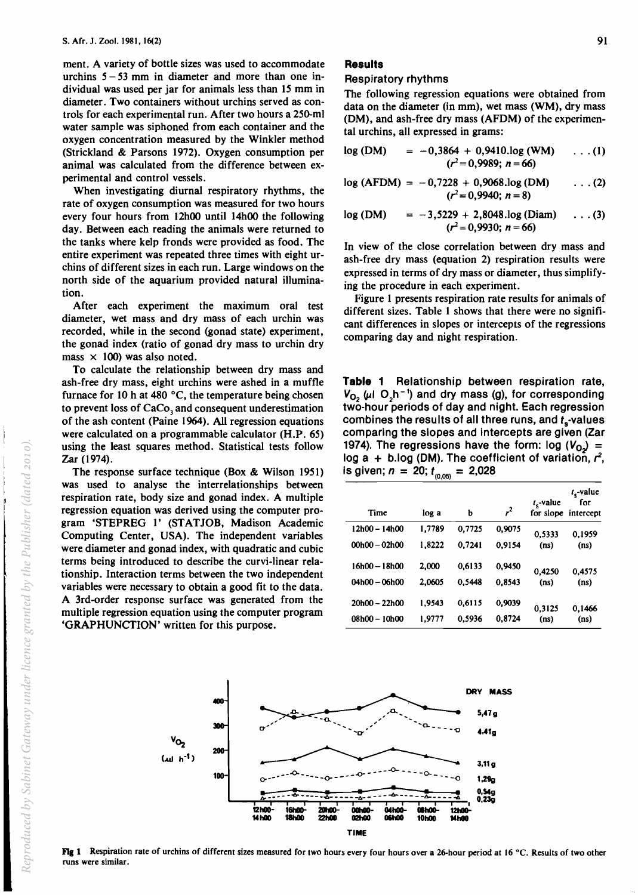ment. A variety of bottle sizes was used to accommodate urchins  $5 - 53$  mm in diameter and more than one individual was used per jar for animals less than 15 mm in diameter. Two containers without urchins served as controls for each experimental run. After two hours a 25D-ml water sample was siphoned from each container and the oxygen concentration measured by the Winkler method (Strickland & Parsons 1972). Oxygen consumption per animal was calculated from the difference between experimental and control vessels.

When investigating diurnal respiratory rhythms, the rate of oxygen consumption was measured for two hours every four hours from 12hOO until 14hOO the following day. Between each reading the animals were returned to the tanks where kelp fronds were provided as food. The entire experiment was repeated three times with eight urchins of different sizes in each run. Large windows on the north side of the aquarium provided natural illumination.

After each experiment the maximum oral test diameter, wet mass and dry mass of each urchin was recorded, while in the second (gonad state) experiment, the gonad index (ratio of gonad dry mass to urchin dry mass  $\times$  100) was also noted.

To calculate the relationship between dry mass and ash-free dry mass, eight urchins were ashed in a muffle furnace for 10 h at 480  $^{\circ}$ C, the temperature being chosen to prevent loss of CaCo<sub>3</sub> and consequent underestimation of the ash content (Paine 1964). All regression equations were calculated on a programmable calculator (H.P. 65) using the least squares method. Statistical tests follow Zar (1974).

The response surface technique (Box & Wilson 1951) was used to analyse the interrelationships between respiration rate, body size and gonad index. A multiple regression equation was derived using the computer program 'STEPREG l' (STATJOB, Madison Academic Computing Center, USA). The independent variables were diameter and gonad index, with quadratic and cubic terms being introduced to describe the curvi-linear relationship. Interaction terms between the two independent variables were necessary to obtain a good fit to the data. A 3rd-order response surface was generated from the mUltiple regression equation using the computer program 'GRAPHUNCTION' written for this purpose.

# **Results**

#### Respiratory rhythms

The following regression equations were obtained from data on the diameter (in mm), wet mass (WM), dry mass (OM), and ash-free dry mass (AFOM) of the experimental urchins, all expressed in grams:

$$
\log (DM) = -0,3864 + 0,9410 \log (WM) \quad \dots (1)
$$
  

$$
(r^2 = 0,9989; n = 66)
$$

$$
log (AFDM) = -0,7228 + 0,9068 log (DM) \qquad \dots (2)
$$
  

$$
(r^2 = 0,9940; n = 8)
$$

$$
\log (DM) = -3,5229 + 2,8048 \log (Diam) \dots (3)
$$
  

$$
(r^2 = 0,9930; n = 66)
$$

In view of the close correlation between dry mass and ash-free dry mass (equation 2) respiration results were expressed in terms of dry mass or diameter, thus simplifying the procedure in each experiment.

Figure 1 presents respiration rate results for animals of different sizes. Table 1 shows that there were no significant differences in slopes or intercepts of the regressions comparing day and night respiration.

Table 1 Relationship between respiration rate,  $V_{\Omega_2}$  ( $\mu$ I O<sub>2</sub>h<sup>-1</sup>) and dry mass (g), for corresponding two-hour periods of day and night. Each regression combines the results of all three runs, and  $t<sub>s</sub>$ -values comparing the slopes and intercepts are given (Zar 1974). The regressions have the form:  $log (V<sub>O</sub>)$  = log a + b.log (DM). The coefficient of variation,  $r^2$ , is given;  $n = 20$ ;  $t_{(0,05)} = 2,028$ 

|                 | ,,,,,, |        |                |                   |                                              |
|-----------------|--------|--------|----------------|-------------------|----------------------------------------------|
| Time            | log a  | b      | r <sup>2</sup> | $t_{s}$ -value    | $t_{s}$ -value<br>for<br>for slope intercept |
| 12h00 - 14h00   | 1,7789 | 0.7725 | 0.9075         | 0.5333            | 0.1959                                       |
| $00h00 - 02h00$ | 1,8222 | 0.7241 | 0.9154         | (n <sub>s</sub> ) | (ns)                                         |
| 16h00 – 18h00   | 2,000  | 0.6133 | 0.9450         | 0.4250            | 0.4575                                       |
| 04h00 - 06h00   | 2.0605 | 0.5448 | 0.8543         | (n <sub>s</sub> ) | (ns)                                         |
| $20h00 - 22h00$ | 1.9543 | 0.6115 | 0.9039         | 0,3125            | 0.1466                                       |
| 08h00 - 10h00   | 1.9777 | 0.5936 | 0.8724         | (n <sub>s</sub> ) | (n <sub>s</sub> )                            |



Fig 1 Respiration rate of urchins of different sizes measured for two hours every four hours over a 26-hour period at 16 °C. Results of two other runs were similar.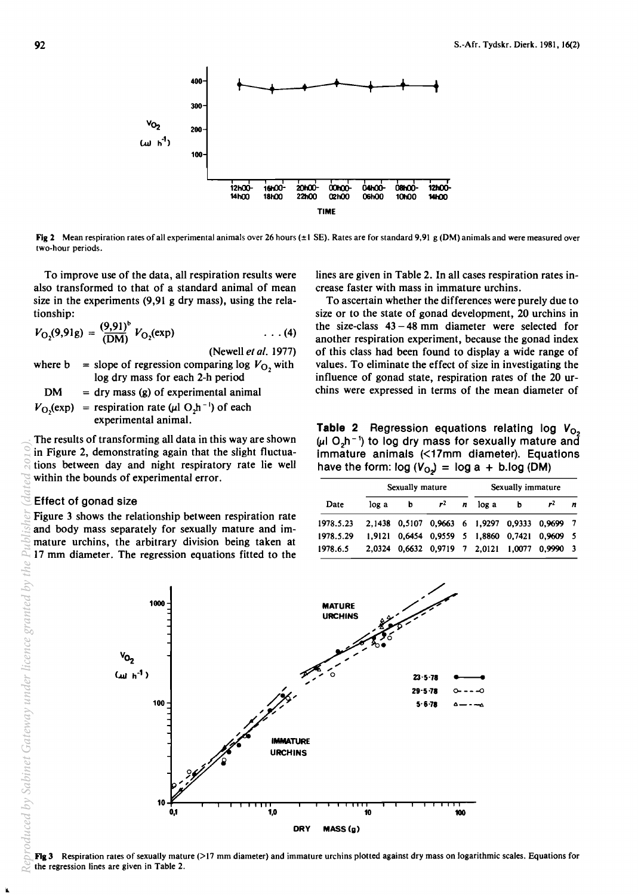<sup>400</sup>+--+ t-· **+ + +**  300  $v_{O_2}$  200  $(\mu L h^1)$ 100 121100- 16tOO- 2OtOO- !D1OO- 04h00- 0IIt00- 12hOO-141100 18tOO 22hOO O2hOO 061100 1000 14tOO TIME

Fig 2 Mean respiration rates of all experimental animals over 26 hours ( $\pm 1$  SE). Rates are for standard 9,91 g (DM) animals and were measured over two-hour periods.

To improve use of the data, all respiration results were also transformed to that of a standard animal of mean size in the experiments (9,91 g dry mass), using the relationship:

$$
V_{\text{O}_2}(9,91g) = \frac{(9,91)^b}{(\text{DM})} V_{\text{O}_2}(\text{exp}) \qquad \qquad \dots (4)
$$

(Newell et al. 1977)

where  $b = slope of regression comparing log  $V_O$ , with$ log dry mass for each 2-h period

 $DM = dry mass(g)$  of experimental animal  $V_{\text{O}_2}(\text{exp})$  = respiration rate ( $\mu$ l O<sub>2</sub>h<sup>-1</sup>) of each experimental animal.

The results of transforming all data in this way are shown in Figure 2, demonstrating again that the slight fluctuations between day and night respiratory rate lie well within the bounds of experimental error.

## Effect of gonad size

Figure 3 shows the relationship between respiration rate and body mass separately for sexually mature and immature urchins, the arbitrary division being taken at  $\mathbb{Z}$  17 mm diameter. The regression equations fitted to the lines are given in Table 2. In all cases respiration rates increase faster with mass in immature urchins.

To ascertain whether the differences were purely due to size or to the state of gonad development, 20 urchins in the size-class  $43 - 48$  mm diameter were selected for another respiration experiment, because the gonad index of this class had been found to display a wide range of values. To eliminate the effect of size in investigating the influence of gonad state, respiration rates of the 20 urchins were expressed in terms of the mean diameter of

**Table 2** Regression equations relating log  $V_{O_2}$  $(\mu$ I O<sub>2</sub>h<sup>-1</sup>) to log dry mass for sexually mature and immature animals (<17mm diameter). Equations have the form:  $log (V_{Q_2}) = log a + b.log (DM)$ 

|           |       | Sexually mature |       |   |       | Sexually immature |                                               |   |
|-----------|-------|-----------------|-------|---|-------|-------------------|-----------------------------------------------|---|
| Date      | log a | ь               | $r^2$ | n | log a | b                 | rz                                            | n |
| 1978.5.23 |       |                 |       |   |       |                   | 2,1438 0,5107 0,9663 6 1,9297 0,9333 0,9699 7 |   |
| 1978.5.29 |       |                 |       |   |       |                   | 1,9121 0,6454 0,9559 5 1,8860 0,7421 0,9609 5 |   |
| 1978.6.5  |       |                 |       |   |       |                   | 2,0324 0,6632 0,9719 7 2,0121 1,0077 0,9990 3 |   |



**Fig 3** Respiration rates of sexually mature  $(>17 \text{ mm diameter})$  and immature urchins plotted against dry mass on logarithmic scales. Equations for the regression lines are given in Table 2.

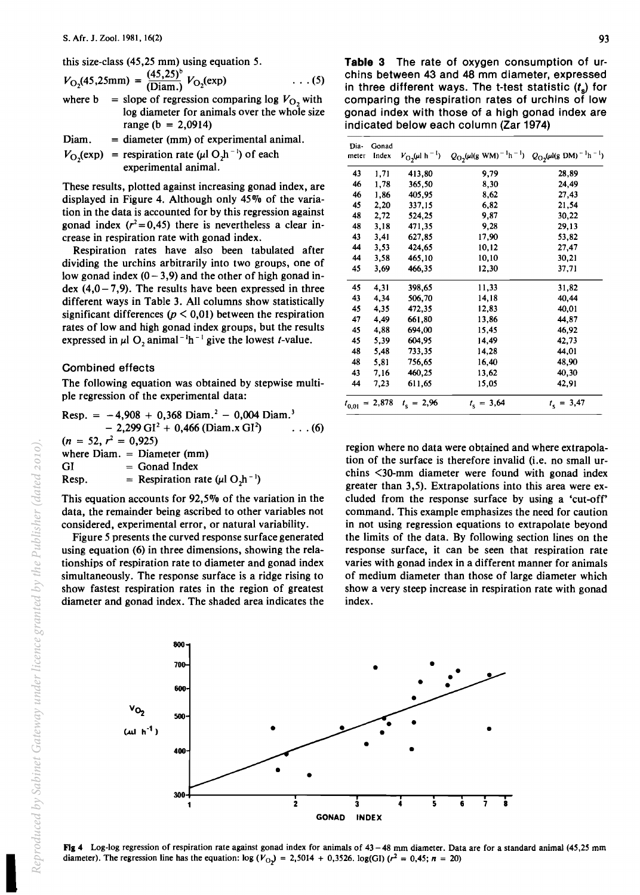this size-class (45,25 mm) using equation 5.

$$
V_{\text{O}_2}(45,25\text{mm}) = \frac{(45,25)^6}{(\text{Diam.})} V_{\text{O}_2}(\text{exp}) \qquad \dots (5)
$$
  
where b = slope of regression comparing log  $V_{\text{O}_2}$  with

$$
= \frac{1}{2} \log \frac{1}{2} \log \frac{1}{2} \log \frac{1}{2} \log \frac{1}{2} \log \frac{1}{2}
$$
  
log diameter for animals over the whole size  
range (b = 2,0914)

$$
Diam. = diameter (mm) of experimental animal.
$$

 $V_{\text{O}_2}(\text{exp})$  = respiration rate ( $\mu$ l O<sub>2</sub>h<sup>-1</sup>) of each experimental animal.

These results, plotted against increasing gonad index, are displayed in Figure 4. Although only 45% of the variation in the data is accounted for by this regression against gonad index  $(r^2 = 0.45)$  there is nevertheless a clear increase in respiration rate with gonad index.

Respiration rates have also been tabulated after dividing the urchins arbitrarily into two groups, one of low gonad index  $(0 - 3.9)$  and the other of high gonad index  $(4,0-7,9)$ . The results have been expressed in three different ways in Table 3. All columns show statistically significant differences ( $p < 0.01$ ) between the respiration rates of low and high gonad index groups, but the results expressed in  $\mu$ l O, animal<sup>-1</sup>h<sup>-1</sup> give the lowest *t*-value.

## Combined effects

The following equation was obtained by stepwise multiple regression of the experimental data:

Resp. = - 4,908 + 0,368 Diam. 2 - 0,004 Diam. <sup>3</sup> - 2,299 GI <sup>2</sup>+ 0,466 (Diam.x GI~ ... (6) (n = 52, ~ = 0,925) where Diam. = Diameter (mm) GI = Gonad Index Resp. = Respiration rate (J.tl O~ -I)

This equation accounts for 92,5% of the variation in the data, the remainder being ascribed to other variables not considered, experimental error, or natural variability.

Figure 5 presents the curved response surface generated using equation (6) in three dimensions, showing the relationships of respiration rate to diameter and gonad index simultaneously. The response surface is a ridge rising to show fastest respiration rates in the region of greatest diameter and gonad index. The shaded area indicates the

**Table 3** The rate of oxygen consumption of urchins between 43 and 48 mm diameter, expressed in three different ways. The t-test statistic (t*s)* for comparing the respiration rates of urchins of low gonad index with those of a high gonad index are indicated below each column (Zar 1974)

| Dia-<br>meter | Gonad<br>Index | $V_{\rm O2}(\mu l \ h^{-1})$ | $Q_{\text{O}_2}(\mu)(g \text{ W}\text{M})^{-1}\text{h}^{-1})$ | $Q_{\text{O}_2}(\mu\text{I(g DM})^{-1}\text{h}^{-1})$ |
|---------------|----------------|------------------------------|---------------------------------------------------------------|-------------------------------------------------------|
|               |                |                              |                                                               |                                                       |
| 43            | 1,71           | 413,80                       | 9,79                                                          | 28,89                                                 |
| 46            | 1,78           | 365,50                       | 8,30                                                          | 24,49                                                 |
| 46            | 1,86           | 405,95                       | 8.62                                                          | 27,43                                                 |
| 45            | 2,20           | 337,15                       | 6,82                                                          | 21,54                                                 |
| 48            | 2,72           | 524,25                       | 9,87                                                          | 30,22                                                 |
| 48            | 3,18           | 471,35                       | 9,28                                                          | 29,13                                                 |
| 43            | 3,41           | 627,85                       | 17,90                                                         | 53,82                                                 |
| 44            | 3,53           | 424,65                       | 10,12                                                         | 27,47                                                 |
| 44            | 3,58           | 465,10                       | 10,10                                                         | 30,21                                                 |
| 45            | 3,69           | 466,35                       | 12,30                                                         | 37,71                                                 |
| 45            | 4,31           | 398,65                       | 11,33                                                         | 31,82                                                 |
| 43            | 4,34           | 506,70                       | 14,18                                                         | 40,44                                                 |
| 45            | 4,35           | 472,35                       | 12,83                                                         | 40,01                                                 |
| 47            | 4,49           | 661,80                       | 13,86                                                         | 44,87                                                 |
| 45            | 4,88           | 694,00                       | 15,45                                                         | 46,92                                                 |
| 45            | 5,39           | 604,95                       | 14,49                                                         | 42,73                                                 |
| 48            | 5,48           | 733,35                       | 14,28                                                         | 44,01                                                 |
| 48            | 5,81           | 756,65                       | 16,40                                                         | 48,90                                                 |
| 43            | 7,16           | 460,25                       | 13,62                                                         | 40,30                                                 |
| 44            | 7,23           | 611,65                       | 15,05                                                         | 42,91                                                 |
| $t_{0,01}$    | $= 2,878$      | $t_s = 2,96$                 | $t_c = 3{,}64$                                                | $t_s = 3,47$                                          |

region where no data were obtained and where extrapolation of the surface is therefore invalid (i.e. no small urchins <30-mm diameter were found with gonad index greater than 3,5). Extrapolations into this area were excluded from the response surface by using a 'cut-off' command. This example emphasizes the need for caution in not using regression equations to extrapolate beyond the limits of the data. By following section lines on the response surface, it can be seen that respiration rate varies with gonad index in a different manner for animals of medium diameter than those of large diameter which show a very steep increase in respiration rate with gonad index.





FIg4 Log-log regression of respiration rate against gonad index for animals of 43 -48 mm diameter. Data are for a standard animal (45,25 mm diameter). The regression line has the equation:  $\log (V_{O_2}) = 2{,}5014 + 0{,}3526$ .  $\log(GI) (r^2 = 0{,}45; n = 20)$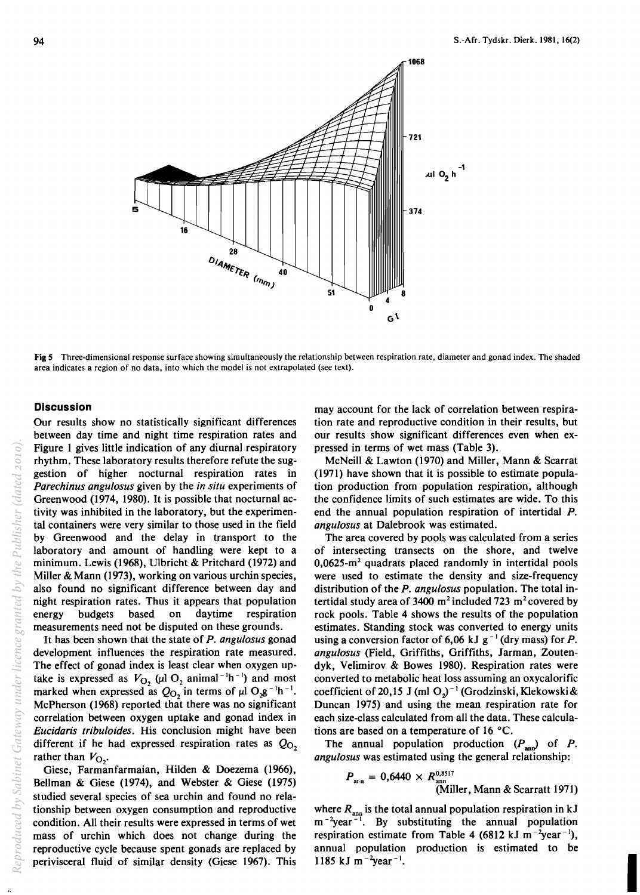

Fig 5 Three-dimensional response surface showing simultaneously the relationship between respiration rate, diameter and gonad index. The shaded area indicates a region of no data, into which the model is not extrapolated (see text).

### **Discussion**

Our results show no statistically significant differences between day time and night time respiration rates and Figure I gives little indication of any diurnal respiratory rhythm. These laboratory results therefore refute the suggestion of higher nocturnal respiration rates in *Porechinus ongulosus* given by the *in situ* experiments of Greenwood (1974, 1980). It is possible that nocturnal activity was inhibited in the laboratory, but the experimental containers were very similar to those used in the field by Greenwood and the delay in transport to the laboratory and amount of handling were kept to a minimum. Lewis (1968), Ulbricht & Pritchard (1972) and Miller & Mann (1973), working on various urchin species, also found no significant difference between day and night respiration rates. Thus it appears that population energy budgets based on daytime respiration measurements need not be disputed on these grounds.

It has been shown that the state of *P. ongulosus* gonad development influences the respiration rate measured. The effect of gonad index is least clear when oxygen uptake is expressed as  $V_{O_2}$  ( $\mu$ I O<sub>2</sub> animal<sup>-1</sup>h<sup>-1</sup>) and most marked when expressed as  $Q_{O_2}$  in terms of  $\mu$ l O<sub>2</sub>g<sup>-1</sup>h<sup>-1</sup>. McPherson (1968) reported that there was no significant correlation between oxygen uptake and gonad index in *Eucidoris tribuloides.* His conclusion might have been different if he had expressed respiration rates as  $Q_0$ , rather than  $V_{\text{O}_2}$ .

Giese, Farmanfarmaian, Hilden & Doezema (1966), Bellman & Giese (1974), and Webster & Giese (1975) studied several species of sea urchin and found no relationship between oxygen consumption and reproductive condition. All their results were expressed in terms of wet mass of urchin which does not change during the reproductive cycle because spent gonads are replaced by perivisceral fluid of similar density (Giese 1967). This

may account for the lack of correlation between respiration rate and reproductive condition in their results, but our results show significant differences even when expressed in terms of wet mass (Table 3).

McNeill & Lawton (1970) and Miller, Mann & Scarrat (1971) have shown that it is possible to estimate population production from population respiration, although the confidence limits of such estimates are wide. To this end the annual population respiration of intertidal P. *ongulosus* at Dalebrook was estimated.

The area covered by pools was calculated from a series of intersecting transects on the shore, and twelve  $0,0625$ -m<sup>2</sup> quadrats placed randomly in intertidal pools were used to estimate the density and size-frequency distribution of the *P. ongulosus* population. The total intertidal study area of 3400  $m^2$  included 723  $m^2$  covered by rock pools. Table 4 shows the results of the population estimates. Standing stock was converted to energy units using a conversion factor of 6,06 kJ  $g^{-1}$  (dry mass) for P. *ongulosus* (Field, Griffiths, Griffiths, Jarman, Zoutendyk, Velimirov & Bowes 1980). Respiration rates were converted to metabolic heat loss assuming an oxycalorific coefficient of 20,15 J (ml O<sub>2</sub>)<sup>-1</sup> (Grodzinski, Klekowski & Duncan 1975) and using the mean respiration rate for each size-class calculated from all the data. These calculations are based on a temperature of  $16 °C$ .

The annual population production  $(P_{\text{ann}})$  of P. *ongulosus* was estimated using the general relationship:

$$
P_{\text{atn}} = 0,6440 \times R_{\text{ann}}^{0,8517}
$$
  
(Miller, Mann & Scarratt 1971)

where  $R_{\text{ann}}$  is the total annual population respiration in kJ  $m^{-2}$ year<sup>-1</sup>. By substituting the annual population respiration estimate from Table 4 (6812 kJ m<sup>-2</sup>year<sup>-1</sup>), annual population production is estimated to be 1185 kJ m $^{-2}$ year $^{-1}$ . .<br>I. production is commuted to be

94